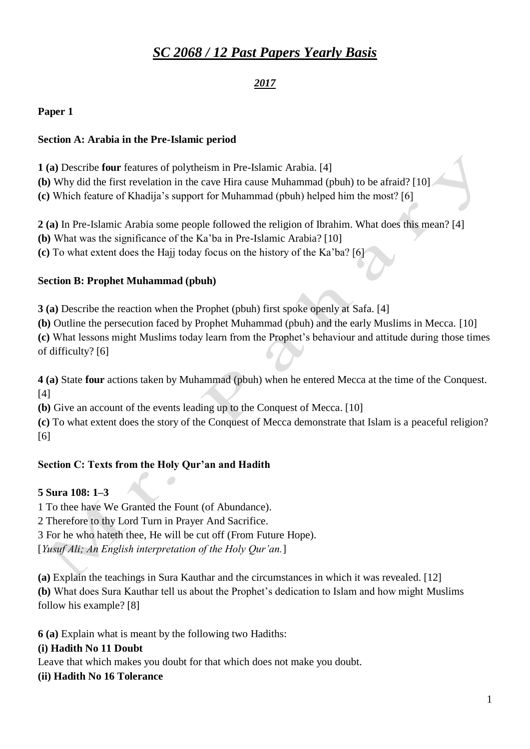# *SC 2068 / 12 Past Papers Yearly Basis*

## *2017*

**Paper 1**

### **Section A: Arabia in the Pre-Islamic period**

**1 (a)** Describe **four** features of polytheism in Pre-Islamic Arabia. [4]

**(b)** Why did the first revelation in the cave Hira cause Muhammad (pbuh) to be afraid? [10]

**(c)** Which feature of Khadija's support for Muhammad (pbuh) helped him the most? [6]

**2 (a)** In Pre-Islamic Arabia some people followed the religion of Ibrahim. What does this mean? [4]

**(b)** What was the significance of the Ka'ba in Pre-Islamic Arabia? [10]

**(c)** To what extent does the Hajj today focus on the history of the Ka'ba? [6]

#### **Section B: Prophet Muhammad (pbuh)**

**3 (a)** Describe the reaction when the Prophet (pbuh) first spoke openly at Safa. [4]

**(b)** Outline the persecution faced by Prophet Muhammad (pbuh) and the early Muslims in Mecca. [10] **(c)** What lessons might Muslims today learn from the Prophet's behaviour and attitude during those times of difficulty? [6]

**4 (a)** State **four** actions taken by Muhammad (pbuh) when he entered Mecca at the time of the Conquest. [4]

**(b)** Give an account of the events leading up to the Conquest of Mecca. [10]

**(c)** To what extent does the story of the Conquest of Mecca demonstrate that Islam is a peaceful religion? [6]

## **Section C: Texts from the Holy Qur'an and Hadith**

## **5 Sura 108: 1–3**

1 To thee have We Granted the Fount (of Abundance).

2 Therefore to thy Lord Turn in Prayer And Sacrifice.

3 For he who hateth thee, He will be cut off (From Future Hope).

[*Yusuf Ali; An English interpretation of the Holy Qur'an.*]

**(a)** Explain the teachings in Sura Kauthar and the circumstances in which it was revealed. [12] **(b)** What does Sura Kauthar tell us about the Prophet's dedication to Islam and how might Muslims follow his example? [8]

**6 (a)** Explain what is meant by the following two Hadiths:

## **(i) Hadith No 11 Doubt**

Leave that which makes you doubt for that which does not make you doubt.

## **(ii) Hadith No 16 Tolerance**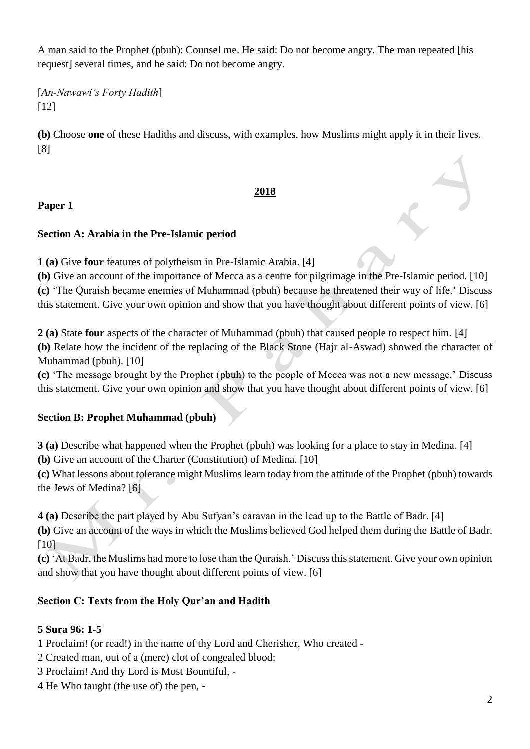A man said to the Prophet (pbuh): Counsel me. He said: Do not become angry. The man repeated [his request] several times, and he said: Do not become angry.

[*An-Nawawi's Forty Hadith*] [12]

**(b)** Choose **one** of these Hadiths and discuss, with examples, how Muslims might apply it in their lives. [8]

## **2018**

## **Paper 1**

#### **Section A: Arabia in the Pre-Islamic period**

**1 (a)** Give **four** features of polytheism in Pre-Islamic Arabia. [4]

**(b)** Give an account of the importance of Mecca as a centre for pilgrimage in the Pre-Islamic period. [10] **(c)** 'The Quraish became enemies of Muhammad (pbuh) because he threatened their way of life.' Discuss this statement. Give your own opinion and show that you have thought about different points of view. [6]

**2 (a)** State **four** aspects of the character of Muhammad (pbuh) that caused people to respect him. [4] **(b)** Relate how the incident of the replacing of the Black Stone (Hajr al-Aswad) showed the character of Muhammad (pbuh). [10]

**(c)** 'The message brought by the Prophet (pbuh) to the people of Mecca was not a new message.' Discuss this statement. Give your own opinion and show that you have thought about different points of view. [6]

## **Section B: Prophet Muhammad (pbuh)**

**3 (a)** Describe what happened when the Prophet (pbuh) was looking for a place to stay in Medina. [4] **(b)** Give an account of the Charter (Constitution) of Medina. [10]

**(c)** What lessons about tolerance might Muslims learn today from the attitude of the Prophet (pbuh) towards the Jews of Medina? [6]

**4 (a)** Describe the part played by Abu Sufyan's caravan in the lead up to the Battle of Badr. [4]

**(b)** Give an account of the ways in which the Muslims believed God helped them during the Battle of Badr. [10]

**(c)** 'At Badr, the Muslims had more to lose than the Quraish.' Discuss this statement. Give your own opinion and show that you have thought about different points of view. [6]

## **Section C: Texts from the Holy Qur'an and Hadith**

#### **5 Sura 96: 1-5**

1 Proclaim! (or read!) in the name of thy Lord and Cherisher, Who created -

2 Created man, out of a (mere) clot of congealed blood:

- 3 Proclaim! And thy Lord is Most Bountiful, -
- 4 He Who taught (the use of) the pen, -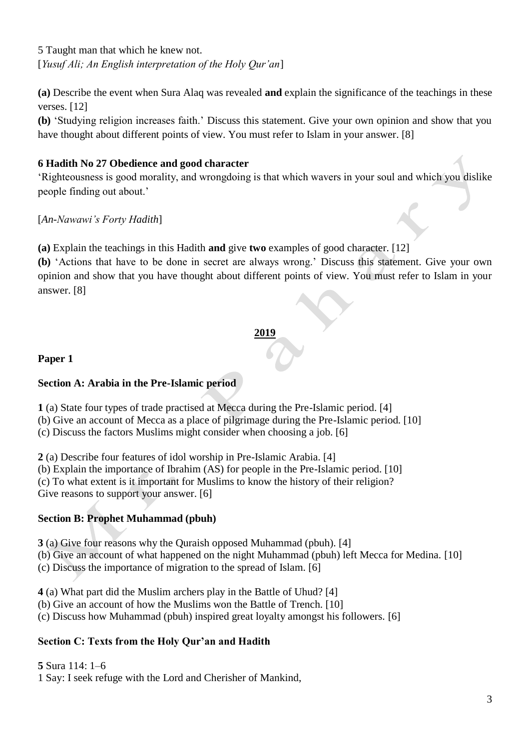5 Taught man that which he knew not. [*Yusuf Ali; An English interpretation of the Holy Qur'an*]

**(a)** Describe the event when Sura Alaq was revealed **and** explain the significance of the teachings in these verses. [12]

**(b)** 'Studying religion increases faith.' Discuss this statement. Give your own opinion and show that you have thought about different points of view. You must refer to Islam in your answer. [8]

## **6 Hadith No 27 Obedience and good character**

'Righteousness is good morality, and wrongdoing is that which wavers in your soul and which you dislike people finding out about.'

[*An-Nawawi's Forty Hadith*]

**(a)** Explain the teachings in this Hadith **and** give **two** examples of good character. [12]

**(b)** 'Actions that have to be done in secret are always wrong.' Discuss this statement. Give your own opinion and show that you have thought about different points of view. You must refer to Islam in your answer. [8]

#### **2019**

#### **Paper 1**

## **Section A: Arabia in the Pre-Islamic period**

**1** (a) State four types of trade practised at Mecca during the Pre-Islamic period. [4]

(b) Give an account of Mecca as a place of pilgrimage during the Pre-Islamic period. [10]

(c) Discuss the factors Muslims might consider when choosing a job. [6]

**2** (a) Describe four features of idol worship in Pre-Islamic Arabia. [4]

(b) Explain the importance of Ibrahim (AS) for people in the Pre-Islamic period. [10]

(c) To what extent is it important for Muslims to know the history of their religion?

Give reasons to support your answer. [6]

## **Section B: Prophet Muhammad (pbuh)**

**3** (a) Give four reasons why the Quraish opposed Muhammad (pbuh). [4]

(b) Give an account of what happened on the night Muhammad (pbuh) left Mecca for Medina. [10]

(c) Discuss the importance of migration to the spread of Islam. [6]

**4** (a) What part did the Muslim archers play in the Battle of Uhud? [4]

(b) Give an account of how the Muslims won the Battle of Trench. [10]

(c) Discuss how Muhammad (pbuh) inspired great loyalty amongst his followers. [6]

## **Section C: Texts from the Holy Qur'an and Hadith**

**5** Sura 114: 1–6

1 Say: I seek refuge with the Lord and Cherisher of Mankind,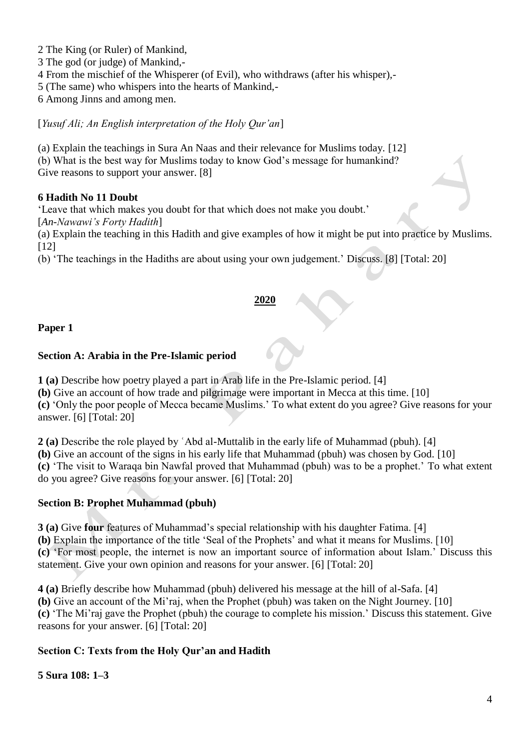2 The King (or Ruler) of Mankind,

3 The god (or judge) of Mankind,-

4 From the mischief of the Whisperer (of Evil), who withdraws (after his whisper),-

5 (The same) who whispers into the hearts of Mankind,-

6 Among Jinns and among men.

[*Yusuf Ali; An English interpretation of the Holy Qur'an*]

(a) Explain the teachings in Sura An Naas and their relevance for Muslims today. [12] (b) What is the best way for Muslims today to know God's message for humankind? Give reasons to support your answer. [8]

#### **6 Hadith No 11 Doubt**

'Leave that which makes you doubt for that which does not make you doubt.'

[*An-Nawawi's Forty Hadith*]

(a) Explain the teaching in this Hadith and give examples of how it might be put into practice by Muslims. [12]

(b) 'The teachings in the Hadiths are about using your own judgement.' Discuss. [8] [Total: 20]

#### **2020**

#### **Paper 1**

#### **Section A: Arabia in the Pre-Islamic period**

**1 (a)** Describe how poetry played a part in Arab life in the Pre-Islamic period. [4]

**(b)** Give an account of how trade and pilgrimage were important in Mecca at this time. [10]

**(c)** 'Only the poor people of Mecca became Muslims.' To what extent do you agree? Give reasons for your answer. [6] [Total: 20]

**2 (a)** Describe the role played by ʿAbd al-Muttalib in the early life of Muhammad (pbuh). [4] **(b)** Give an account of the signs in his early life that Muhammad (pbuh) was chosen by God. [10] **(c)** 'The visit to Waraqa bin Nawfal proved that Muhammad (pbuh) was to be a prophet.' To what extent do you agree? Give reasons for your answer. [6] [Total: 20]

## **Section B: Prophet Muhammad (pbuh)**

**3 (a)** Give **four** features of Muhammad's special relationship with his daughter Fatima. [4] **(b)** Explain the importance of the title 'Seal of the Prophets' and what it means for Muslims. [10] **(c)** 'For most people, the internet is now an important source of information about Islam.' Discuss this statement. Give your own opinion and reasons for your answer. [6] [Total: 20]

**4 (a)** Briefly describe how Muhammad (pbuh) delivered his message at the hill of al-Safa. [4] **(b)** Give an account of the Mi'raj, when the Prophet (pbuh) was taken on the Night Journey. [10] **(c)** 'The Mi'raj gave the Prophet (pbuh) the courage to complete his mission.' Discuss this statement. Give reasons for your answer. [6] [Total: 20]

## **Section C: Texts from the Holy Qur'an and Hadith**

## **5 Sura 108: 1–3**